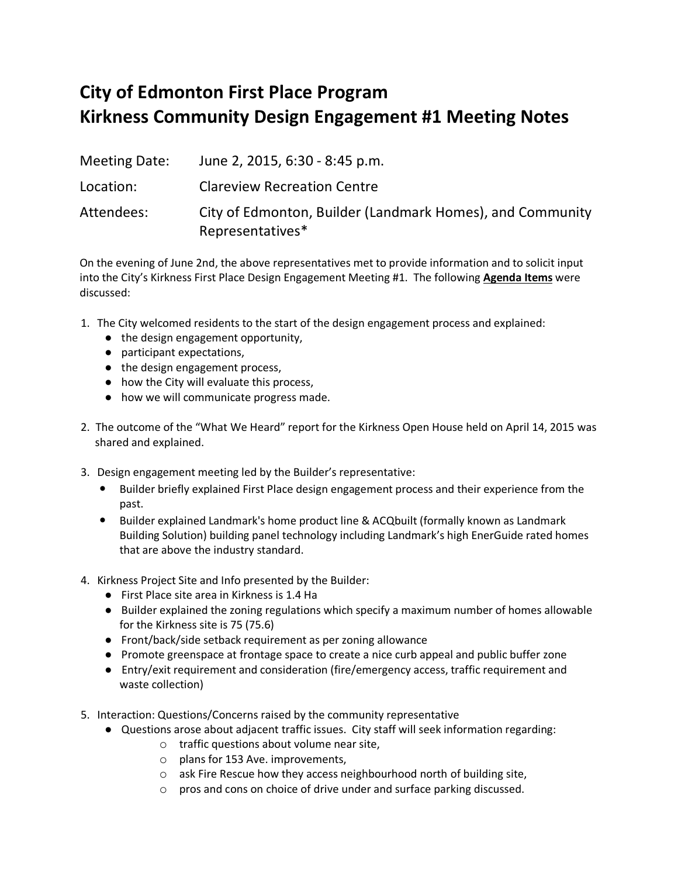## **City of Edmonton First Place Program Kirkness Community Design Engagement #1 Meeting Notes**

Meeting Date: June 2, 2015, 6:30 - 8:45 p.m. Location: Clareview Recreation Centre Attendees: City of Edmonton, Builder (Landmark Homes), and Community Representatives\*

On the evening of June 2nd, the above representatives met to provide information and to solicit input into the City's Kirkness First Place Design Engagement Meeting #1. The following **Agenda Items** were discussed:

- 1. The City welcomed residents to the start of the design engagement process and explained:
	- the design engagement opportunity,
	- participant expectations,
	- the design engagement process,
	- how the City will evaluate this process,
	- how we will communicate progress made.
- 2. The outcome of the "What We Heard" report for the Kirkness Open House held on April 14, 2015 was shared and explained.
- 3. Design engagement meeting led by the Builder's representative:
	- Builder briefly explained First Place design engagement process and their experience from the past.
	- Builder explained Landmark's home product line & ACQbuilt (formally known as Landmark Building Solution) building panel technology including Landmark's high EnerGuide rated homes that are above the industry standard.
- 4. Kirkness Project Site and Info presented by the Builder:
	- First Place site area in Kirkness is 1.4 Ha
	- Builder explained the zoning regulations which specify a maximum number of homes allowable for the Kirkness site is 75 (75.6)
	- Front/back/side setback requirement as per zoning allowance
	- Promote greenspace at frontage space to create a nice curb appeal and public buffer zone
	- Entry/exit requirement and consideration (fire/emergency access, traffic requirement and waste collection)
- 5. Interaction: Questions/Concerns raised by the community representative
	- Questions arose about adjacent traffic issues. City staff will seek information regarding:
		- o traffic questions about volume near site,
		- o plans for 153 Ave. improvements,
		- o ask Fire Rescue how they access neighbourhood north of building site,
		- o pros and cons on choice of drive under and surface parking discussed.